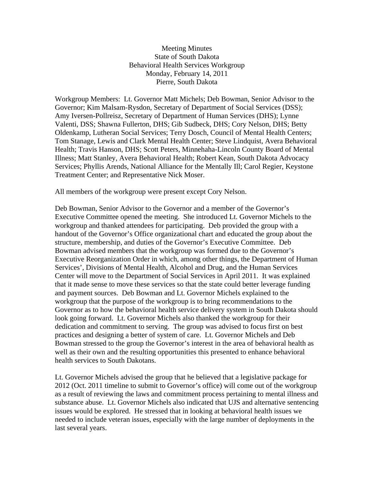## Meeting Minutes State of South Dakota Behavioral Health Services Workgroup Monday, February 14, 2011 Pierre, South Dakota

Workgroup Members: Lt. Governor Matt Michels; Deb Bowman, Senior Advisor to the Governor; Kim Malsam-Rysdon, Secretary of Department of Social Services (DSS); Amy Iversen-Pollreisz, Secretary of Department of Human Services (DHS); Lynne Valenti, DSS; Shawna Fullerton, DHS; Gib Sudbeck, DHS; Cory Nelson, DHS; Betty Oldenkamp, Lutheran Social Services; Terry Dosch, Council of Mental Health Centers; Tom Stanage, Lewis and Clark Mental Health Center; Steve Lindquist, Avera Behavioral Health; Travis Hanson, DHS; Scott Peters, Minnehaha-Lincoln County Board of Mental Illness; Matt Stanley, Avera Behavioral Health; Robert Kean, South Dakota Advocacy Services; Phyllis Arends, National Alliance for the Mentally Ill; Carol Regier, Keystone Treatment Center; and Representative Nick Moser.

All members of the workgroup were present except Cory Nelson.

Deb Bowman, Senior Advisor to the Governor and a member of the Governor's Executive Committee opened the meeting. She introduced Lt. Governor Michels to the workgroup and thanked attendees for participating. Deb provided the group with a handout of the Governor's Office organizational chart and educated the group about the structure, membership, and duties of the Governor's Executive Committee. Deb Bowman advised members that the workgroup was formed due to the Governor's Executive Reorganization Order in which, among other things, the Department of Human Services', Divisions of Mental Health, Alcohol and Drug, and the Human Services Center will move to the Department of Social Services in April 2011. It was explained that it made sense to move these services so that the state could better leverage funding and payment sources. Deb Bowman and Lt. Governor Michels explained to the workgroup that the purpose of the workgroup is to bring recommendations to the Governor as to how the behavioral health service delivery system in South Dakota should look going forward. Lt. Governor Michels also thanked the workgroup for their dedication and commitment to serving. The group was advised to focus first on best practices and designing a better of system of care. Lt. Governor Michels and Deb Bowman stressed to the group the Governor's interest in the area of behavioral health as well as their own and the resulting opportunities this presented to enhance behavioral health services to South Dakotans.

Lt. Governor Michels advised the group that he believed that a legislative package for 2012 (Oct. 2011 timeline to submit to Governor's office) will come out of the workgroup as a result of reviewing the laws and commitment process pertaining to mental illness and substance abuse. Lt. Governor Michels also indicated that UJS and alternative sentencing issues would be explored. He stressed that in looking at behavioral health issues we needed to include veteran issues, especially with the large number of deployments in the last several years.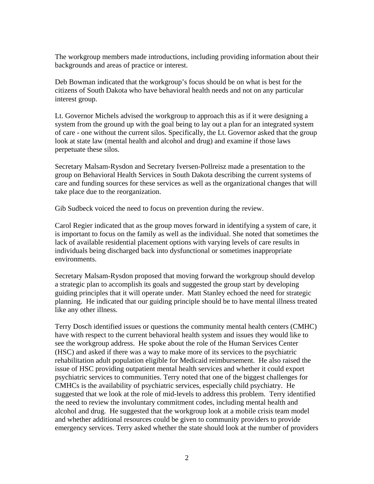The workgroup members made introductions, including providing information about their backgrounds and areas of practice or interest.

Deb Bowman indicated that the workgroup's focus should be on what is best for the citizens of South Dakota who have behavioral health needs and not on any particular interest group.

Lt. Governor Michels advised the workgroup to approach this as if it were designing a system from the ground up with the goal being to lay out a plan for an integrated system of care - one without the current silos. Specifically, the Lt. Governor asked that the group look at state law (mental health and alcohol and drug) and examine if those laws perpetuate these silos.

Secretary Malsam-Rysdon and Secretary Iversen-Pollreisz made a presentation to the group on Behavioral Health Services in South Dakota describing the current systems of care and funding sources for these services as well as the organizational changes that will take place due to the reorganization.

Gib Sudbeck voiced the need to focus on prevention during the review.

Carol Regier indicated that as the group moves forward in identifying a system of care, it is important to focus on the family as well as the individual. She noted that sometimes the lack of available residential placement options with varying levels of care results in individuals being discharged back into dysfunctional or sometimes inappropriate environments.

Secretary Malsam-Rysdon proposed that moving forward the workgroup should develop a strategic plan to accomplish its goals and suggested the group start by developing guiding principles that it will operate under. Matt Stanley echoed the need for strategic planning. He indicated that our guiding principle should be to have mental illness treated like any other illness.

Terry Dosch identified issues or questions the community mental health centers (CMHC) have with respect to the current behavioral health system and issues they would like to see the workgroup address. He spoke about the role of the Human Services Center (HSC) and asked if there was a way to make more of its services to the psychiatric rehabilitation adult population eligible for Medicaid reimbursement. He also raised the issue of HSC providing outpatient mental health services and whether it could export psychiatric services to communities. Terry noted that one of the biggest challenges for CMHCs is the availability of psychiatric services, especially child psychiatry. He suggested that we look at the role of mid-levels to address this problem. Terry identified the need to review the involuntary commitment codes, including mental health and alcohol and drug. He suggested that the workgroup look at a mobile crisis team model and whether additional resources could be given to community providers to provide emergency services. Terry asked whether the state should look at the number of providers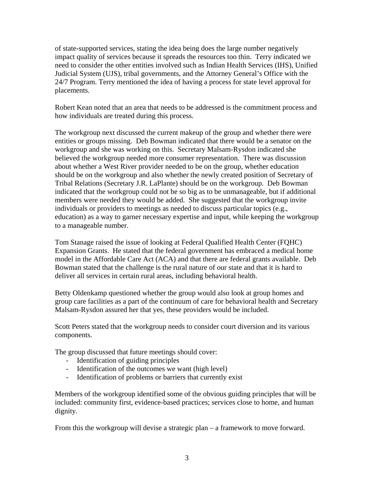of state-supported services, stating the idea being does the large number negatively impact quality of services because it spreads the resources too thin. Terry indicated we need to consider the other entities involved such as Indian Health Services (IHS), Unified Judicial System (UJS), tribal governments, and the Attorney General's Office with the 24/7 Program. Terry mentioned the idea of having a process for state level approval for placements.

Robert Kean noted that an area that needs to be addressed is the commitment process and how individuals are treated during this process.

The workgroup next discussed the current makeup of the group and whether there were entities or groups missing. Deb Bowman indicated that there would be a senator on the workgroup and she was working on this. Secretary Malsam-Rysdon indicated she believed the workgroup needed more consumer representation. There was discussion about whether a West River provider needed to be on the group, whether education should be on the workgroup and also whether the newly created position of Secretary of Tribal Relations (Secretary J.R. LaPlante) should be on the workgroup. Deb Bowman indicated that the workgroup could not be so big as to be unmanageable, but if additional members were needed they would be added. She suggested that the workgroup invite individuals or providers to meetings as needed to discuss particular topics (e.g., education) as a way to garner necessary expertise and input, while keeping the workgroup to a manageable number.

Tom Stanage raised the issue of looking at Federal Qualified Health Center (FQHC) Expansion Grants. He stated that the federal government has embraced a medical home model in the Affordable Care Act (ACA) and that there are federal grants available. Deb Bowman stated that the challenge is the rural nature of our state and that it is hard to deliver all services in certain rural areas, including behavioral health.

Betty Oldenkamp questioned whether the group would also look at group homes and group care facilities as a part of the continuum of care for behavioral health and Secretary Malsam-Rysdon assured her that yes, these providers would be included.

Scott Peters stated that the workgroup needs to consider court diversion and its various components.

The group discussed that future meetings should cover:

- Identification of guiding principles
- Identification of the outcomes we want (high level)
- Identification of problems or barriers that currently exist

Members of the workgroup identified some of the obvious guiding principles that will be included: community first, evidence-based practices; services close to home, and human dignity.

From this the workgroup will devise a strategic plan – a framework to move forward.